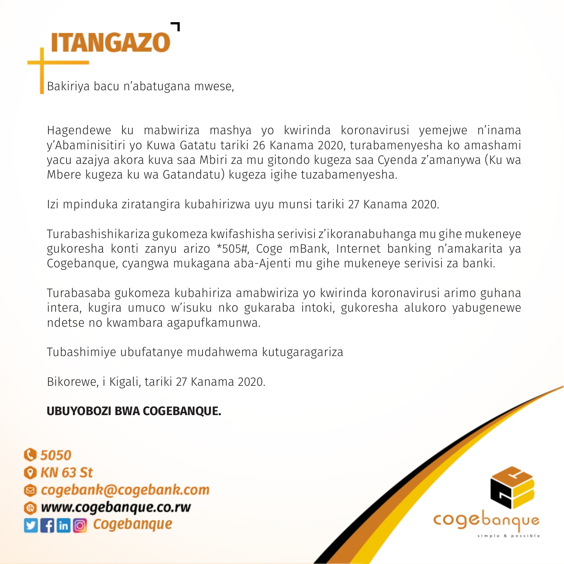

Bakiriya bacu n'abatugana mwese,

Hagendewe ku mabwiriza mashya yo kwirinda koronavirusi yemejwe n'inama y'Abaminisitiri yo Kuwa Gatatu tariki 26 Kanama 2020, turabamenyesha ko amashami yacu azajya akora kuva saa Mbiri za mu gitondo kugeza saa Cyenda z'amanywa (Ku wa Mbere kugeza ku wa Gatandatu) kugeza igihe tuzabamenyesha.

Izi mpinduka ziratangira kubahirizwa uyu munsi tariki 27 Kanama 2020.

Turabashishikariza gukomeza kwifashisha serivisi z'ikoranabuhanga mu gihe mukeneye gukoresha konti zanyu arizo \*505#, Coge mBank, Internet banking n'amakarita ya Cogebanque, cyangwa mukagana aba-Ajenti mu gihe mukeneye serivisi za banki.

Turabasaba gukomeza kubahiriza amabwiriza yo kwirinda koronavirusi arimo guhana intera, kugira umuco w'isuku nko gukaraba intoki, gukoresha alukoro yabugenewe ndetse no kwambara agapufkamunwa.

Tubashimiye ubufatanye mudahwema kutugaragariza

Bikorewe, i Kigali, tariki 27 Kanama 2020.

**UBUYOBOZI BWA COGEBANQUE.**

**Q 5050 Q KN 63 St** © cogebank@cogebank.com **WWW.cogebanque.co.rw**